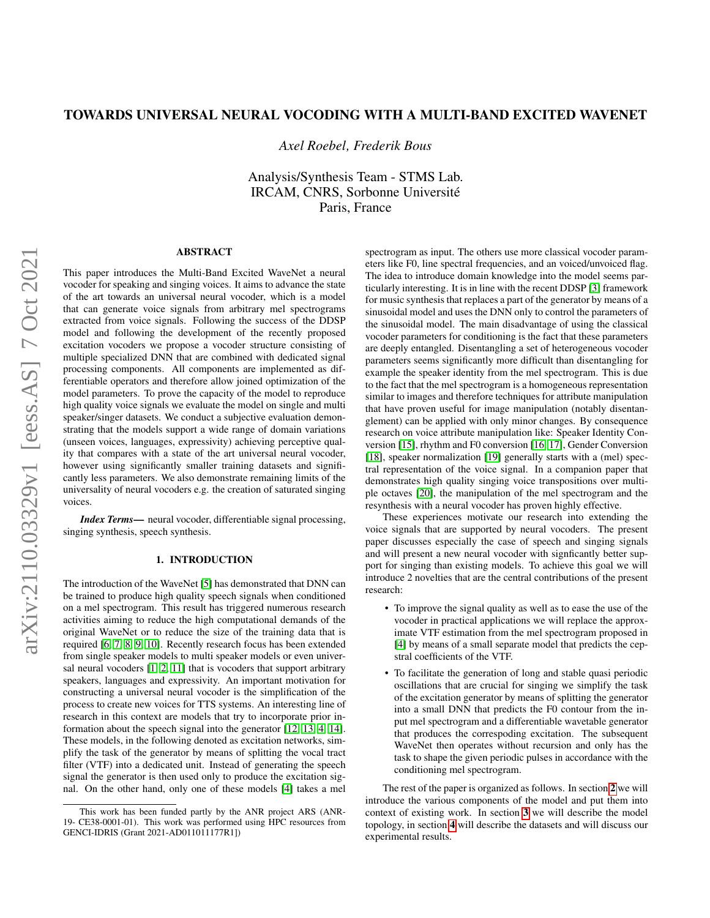# TOWARDS UNIVERSAL NEURAL VOCODING WITH A MULTI-BAND EXCITED WAVENET

*Axel Roebel, Frederik Bous*

Analysis/Synthesis Team - STMS Lab. IRCAM, CNRS, Sorbonne Universite´ Paris, France

# ABSTRACT

This paper introduces the Multi-Band Excited WaveNet a neural vocoder for speaking and singing voices. It aims to advance the state of the art towards an universal neural vocoder, which is a model that can generate voice signals from arbitrary mel spectrograms extracted from voice signals. Following the success of the DDSP model and following the development of the recently proposed excitation vocoders we propose a vocoder structure consisting of multiple specialized DNN that are combined with dedicated signal processing components. All components are implemented as differentiable operators and therefore allow joined optimization of the model parameters. To prove the capacity of the model to reproduce high quality voice signals we evaluate the model on single and multi speaker/singer datasets. We conduct a subjective evaluation demonstrating that the models support a wide range of domain variations (unseen voices, languages, expressivity) achieving perceptive quality that compares with a state of the art universal neural vocoder, however using significantly smaller training datasets and significantly less parameters. We also demonstrate remaining limits of the universality of neural vocoders e.g. the creation of saturated singing voices.

*Index Terms*— neural vocoder, differentiable signal processing, singing synthesis, speech synthesis.

# 1. INTRODUCTION

The introduction of the WaveNet [\[5\]](#page-4-0) has demonstrated that DNN can be trained to produce high quality speech signals when conditioned on a mel spectrogram. This result has triggered numerous research activities aiming to reduce the high computational demands of the original WaveNet or to reduce the size of the training data that is required [\[6,](#page-4-1) [7,](#page-4-2) [8,](#page-4-3) [9,](#page-4-4) [10\]](#page-4-5). Recently research focus has been extended from single speaker models to multi speaker models or even universal neural vocoders [\[1,](#page-4-6) [2,](#page-4-7) [11\]](#page-4-8) that is vocoders that support arbitrary speakers, languages and expressivity. An important motivation for constructing a universal neural vocoder is the simplification of the process to create new voices for TTS systems. An interesting line of research in this context are models that try to incorporate prior information about the speech signal into the generator [\[12,](#page-4-9) [13,](#page-4-10) [4,](#page-4-11) [14\]](#page-4-12). These models, in the following denoted as excitation networks, simplify the task of the generator by means of splitting the vocal tract filter (VTF) into a dedicated unit. Instead of generating the speech signal the generator is then used only to produce the excitation signal. On the other hand, only one of these models [\[4\]](#page-4-11) takes a mel spectrogram as input. The others use more classical vocoder parameters like F0, line spectral frequencies, and an voiced/unvoiced flag. The idea to introduce domain knowledge into the model seems particularly interesting. It is in line with the recent DDSP [\[3\]](#page-4-13) framework for music synthesis that replaces a part of the generator by means of a sinusoidal model and uses the DNN only to control the parameters of the sinusoidal model. The main disadvantage of using the classical vocoder parameters for conditioning is the fact that these parameters are deeply entangled. Disentangling a set of heterogeneous vocoder parameters seems significantly more difficult than disentangling for example the speaker identity from the mel spectrogram. This is due to the fact that the mel spectrogram is a homogeneous representation similar to images and therefore techniques for attribute manipulation that have proven useful for image manipulation (notably disentanglement) can be applied with only minor changes. By consequence research on voice attribute manipulation like: Speaker Identity Conversion [\[15\]](#page-4-14), rhythm and F0 conversion [\[16,](#page-4-15) [17\]](#page-4-16), Gender Conversion [\[18\]](#page-4-17), speaker normalization [\[19\]](#page-4-18) generally starts with a (mel) spectral representation of the voice signal. In a companion paper that demonstrates high quality singing voice transpositions over multiple octaves [\[20\]](#page-4-19), the manipulation of the mel spectrogram and the resynthesis with a neural vocoder has proven highly effective.

These experiences motivate our research into extending the voice signals that are supported by neural vocoders. The present paper discusses especially the case of speech and singing signals and will present a new neural vocoder with signficantly better support for singing than existing models. To achieve this goal we will introduce 2 novelties that are the central contributions of the present research:

- To improve the signal quality as well as to ease the use of the vocoder in practical applications we will replace the approximate VTF estimation from the mel spectrogram proposed in [\[4\]](#page-4-11) by means of a small separate model that predicts the cepstral coefficients of the VTF.
- To facilitate the generation of long and stable quasi periodic oscillations that are crucial for singing we simplify the task of the excitation generator by means of splitting the generator into a small DNN that predicts the F0 contour from the input mel spectrogram and a differentiable wavetable generator that produces the correspoding excitation. The subsequent WaveNet then operates without recursion and only has the task to shape the given periodic pulses in accordance with the conditioning mel spectrogram.

The rest of the paper is organized as follows. In section [2](#page-1-0) we will introduce the various components of the model and put them into context of existing work. In section [3](#page-1-1) we will describe the model topology, in section [4](#page-2-0) will describe the datasets and will discuss our experimental results.

This work has been funded partly by the ANR project ARS (ANR-19- CE38-0001-01). This work was performed using HPC resources from GENCI-IDRIS (Grant 2021-AD011011177R1])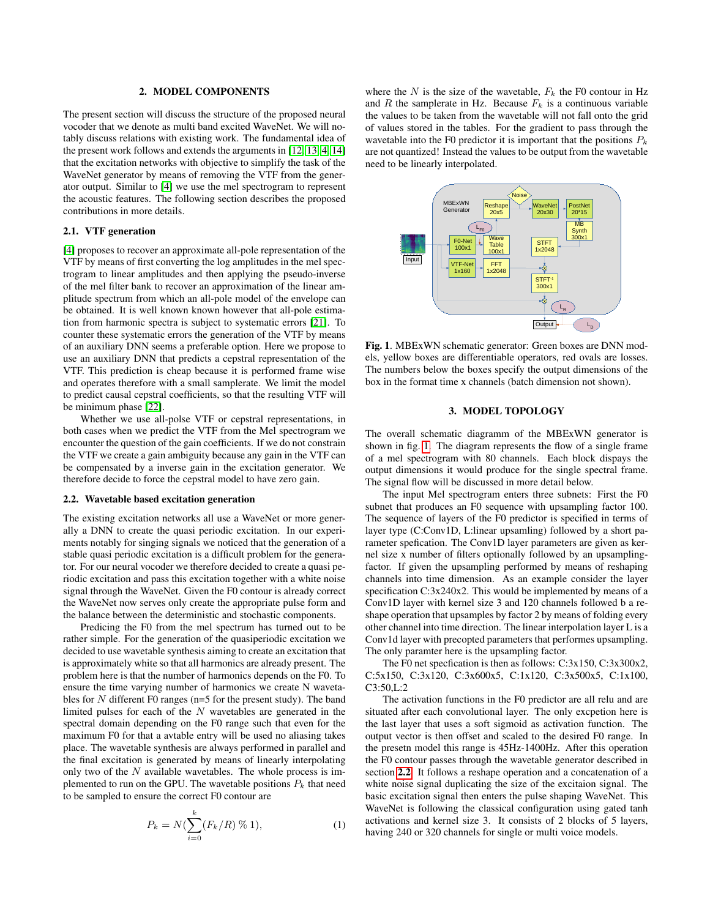#### 2. MODEL COMPONENTS

<span id="page-1-0"></span>The present section will discuss the structure of the proposed neural vocoder that we denote as multi band excited WaveNet. We will notably discuss relations with existing work. The fundamental idea of the present work follows and extends the arguments in [\[12,](#page-4-9) [13,](#page-4-10) [4,](#page-4-11) [14\]](#page-4-12) that the excitation networks with objective to simplify the task of the WaveNet generator by means of removing the VTF from the generator output. Similar to [\[4\]](#page-4-11) we use the mel spectrogram to represent the acoustic features. The following section describes the proposed contributions in more details.

# 2.1. VTF generation

[\[4\]](#page-4-11) proposes to recover an approximate all-pole representation of the VTF by means of first converting the log amplitudes in the mel spectrogram to linear amplitudes and then applying the pseudo-inverse of the mel filter bank to recover an approximation of the linear amplitude spectrum from which an all-pole model of the envelope can be obtained. It is well known known however that all-pole estimation from harmonic spectra is subject to systematic errors [\[21\]](#page-4-20). To counter these systematic errors the generation of the VTF by means of an auxiliary DNN seems a preferable option. Here we propose to use an auxiliary DNN that predicts a cepstral representation of the VTF. This prediction is cheap because it is performed frame wise and operates therefore with a small samplerate. We limit the model to predict causal cepstral coefficients, so that the resulting VTF will be minimum phase [\[22\]](#page-4-21).

Whether we use all-polse VTF or cepstral representations, in both cases when we predict the VTF from the Mel spectrogram we encounter the question of the gain coefficients. If we do not constrain the VTF we create a gain ambiguity because any gain in the VTF can be compensated by a inverse gain in the excitation generator. We therefore decide to force the cepstral model to have zero gain.

### <span id="page-1-3"></span>2.2. Wavetable based excitation generation

The existing excitation networks all use a WaveNet or more generally a DNN to create the quasi periodic excitation. In our experiments notably for singing signals we noticed that the generation of a stable quasi periodic excitation is a difficult problem for the generator. For our neural vocoder we therefore decided to create a quasi periodic excitation and pass this excitation together with a white noise signal through the WaveNet. Given the F0 contour is already correct the WaveNet now serves only create the appropriate pulse form and the balance between the deterministic and stochastic components.

Predicing the F0 from the mel spectrum has turned out to be rather simple. For the generation of the quasiperiodic excitation we decided to use wavetable synthesis aiming to create an excitation that is approximately white so that all harmonics are already present. The problem here is that the number of harmonics depends on the F0. To ensure the time varying number of harmonics we create N wavetables for  $N$  different F0 ranges (n=5 for the present study). The band limited pulses for each of the  $N$  wavetables are generated in the spectral domain depending on the F0 range such that even for the maximum F0 for that a avtable entry will be used no aliasing takes place. The wavetable synthesis are always performed in parallel and the final excitation is generated by means of linearly interpolating only two of the  $N$  available wavetables. The whole process is implemented to run on the GPU. The wavetable positions  $P_k$  that need to be sampled to ensure the correct F0 contour are

$$
P_k = N(\sum_{i=0}^k (F_k/R) \, \%\, 1),\tag{1}
$$

where the N is the size of the wavetable,  $F_k$  the F0 contour in Hz and R the samplerate in Hz. Because  $F_k$  is a continuous variable the values to be taken from the wavetable will not fall onto the grid of values stored in the tables. For the gradient to pass through the wavetable into the F0 predictor it is important that the positions  $P_k$ are not quantized! Instead the values to be output from the wavetable need to be linearly interpolated.



<span id="page-1-2"></span>Fig. 1. MBExWN schematic generator: Green boxes are DNN models, yellow boxes are differentiable operators, red ovals are losses. The numbers below the boxes specify the output dimensions of the box in the format time x channels (batch dimension not shown).

### 3. MODEL TOPOLOGY

<span id="page-1-1"></span>The overall schematic diagramm of the MBExWN generator is shown in fig. [1.](#page-1-2) The diagram represents the flow of a single frame of a mel spectrogram with 80 channels. Each block dispays the output dimensions it would produce for the single spectral frame. The signal flow will be discussed in more detail below.

The input Mel spectrogram enters three subnets: First the F0 subnet that produces an F0 sequence with upsampling factor 100. The sequence of layers of the F0 predictor is specified in terms of layer type (C:Conv1D, L:linear upsamling) followed by a short parameter spefication. The Conv1D layer parameters are given as kernel size x number of filters optionally followed by an upsamplingfactor. If given the upsampling performed by means of reshaping channels into time dimension. As an example consider the layer specification C:3x240x2. This would be implemented by means of a Conv1D layer with kernel size 3 and 120 channels followed b a reshape operation that upsamples by factor 2 by means of folding every other channel into time direction. The linear interpolation layer L is a Conv1d layer with precopted parameters that performes upsampling. The only paramter here is the upsampling factor.

The F0 net specfication is then as follows: C:3x150, C:3x300x2, C:5x150, C:3x120, C:3x600x5, C:1x120, C:3x500x5, C:1x100, C3:50,L:2

The activation functions in the F0 predictor are all relu and are situated after each convolutional layer. The only excpetion here is the last layer that uses a soft sigmoid as activation function. The output vector is then offset and scaled to the desired F0 range. In the presetn model this range is 45Hz-1400Hz. After this operation the F0 contour passes through the wavetable generator described in section [2.2](#page-1-3). It follows a reshape operation and a concatenation of a white noise signal duplicating the size of the excitaion signal. The basic excitation signal then enters the pulse shaping WaveNet. This WaveNet is following the classical configuration using gated tanh activations and kernel size 3. It consists of 2 blocks of 5 layers, having 240 or 320 channels for single or multi voice models.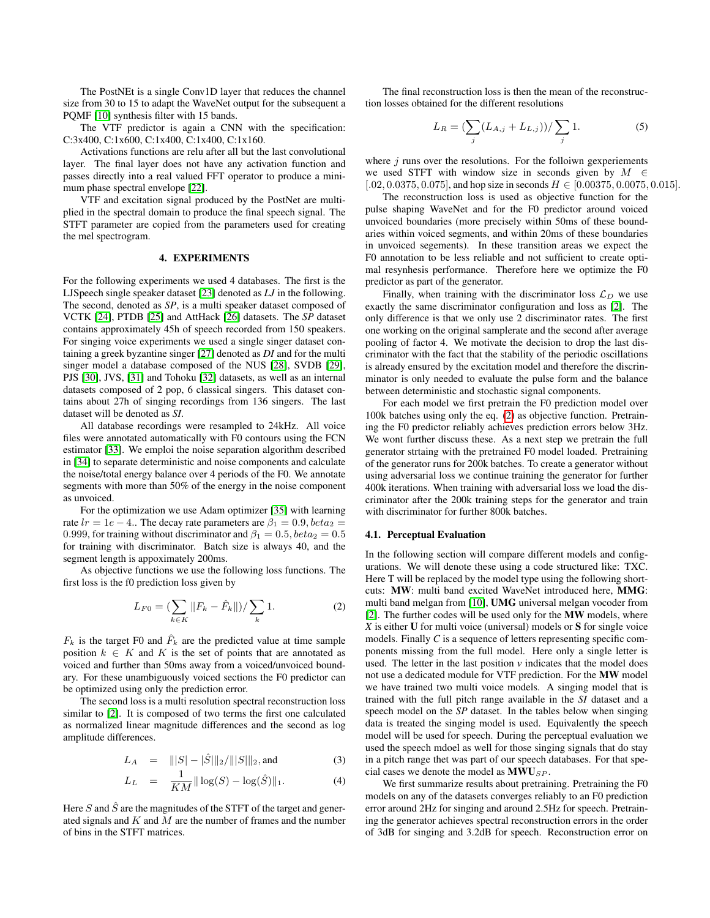The PostNEt is a single Conv1D layer that reduces the channel size from 30 to 15 to adapt the WaveNet output for the subsequent a PQMF [\[10\]](#page-4-5) synthesis filter with 15 bands.

The VTF predictor is again a CNN with the specification: C:3x400, C:1x600, C:1x400, C:1x400, C:1x160.

Activations functions are relu after all but the last convolutional layer. The final layer does not have any activation function and passes directly into a real valued FFT operator to produce a minimum phase spectral envelope [\[22\]](#page-4-21).

VTF and excitation signal produced by the PostNet are multiplied in the spectral domain to produce the final speech signal. The STFT parameter are copied from the parameters used for creating the mel spectrogram.

### 4. EXPERIMENTS

<span id="page-2-0"></span>For the following experiments we used 4 databases. The first is the LJSpeech single speaker dataset [\[23\]](#page-4-22) denoted as *LJ* in the following. The second, denoted as *SP*, is a multi speaker dataset composed of VCTK [\[24\]](#page-4-23), PTDB [\[25\]](#page-4-24) and AttHack [\[26\]](#page-4-25) datasets. The *SP* dataset contains approximately 45h of speech recorded from 150 speakers. For singing voice experiments we used a single singer dataset containing a greek byzantine singer [\[27\]](#page-4-26) denoted as *DI* and for the multi singer model a database composed of the NUS [\[28\]](#page-4-27), SVDB [\[29\]](#page-4-28), PJS [\[30\]](#page-4-29), JVS, [\[31\]](#page-4-30) and Tohoku [\[32\]](#page-4-31) datasets, as well as an internal datasets composed of 2 pop, 6 classical singers. This dataset contains about 27h of singing recordings from 136 singers. The last dataset will be denoted as *SI*.

All database recordings were resampled to 24kHz. All voice files were annotated automatically with F0 contours using the FCN estimator [\[33\]](#page-4-32). We emploi the noise separation algorithm described in [\[34\]](#page-4-33) to separate deterministic and noise components and calculate the noise/total energy balance over 4 periods of the F0. We annotate segments with more than 50% of the energy in the noise component as unvoiced.

For the optimization we use Adam optimizer [\[35\]](#page-4-34) with learning rate  $lr = 1e - 4$ .. The decay rate parameters are  $\beta_1 = 0.9$ ,  $beta_2 =$ 0.999, for training without discriminator and  $\beta_1 = 0.5$ ,  $beta_2 = 0.5$ for training with discriminator. Batch size is always 40, and the segment length is appoximately 200ms.

As objective functions we use the following loss functions. The first loss is the f0 prediction loss given by

<span id="page-2-1"></span>
$$
L_{F0} = \left(\sum_{k \in K} ||F_k - \hat{F}_k||\right) / \sum_k 1. \tag{2}
$$

 $F_k$  is the target F0 and  $\hat{F}_k$  are the predicted value at time sample position  $k \in K$  and K is the set of points that are annotated as voiced and further than 50ms away from a voiced/unvoiced boundary. For these unambiguously voiced sections the F0 predictor can be optimized using only the prediction error.

The second loss is a multi resolution spectral reconstruction loss similar to [\[2\]](#page-4-7). It is composed of two terms the first one calculated as normalized linear magnitude differences and the second as log amplitude differences.

$$
L_A = |||S| - |\hat{S}|||_2 / |||S|||_2, \text{and} \tag{3}
$$

$$
L_L = \frac{1}{KM} || \log(S) - \log(\hat{S}) ||_1.
$$
 (4)

Here  $S$  and  $\hat{S}$  are the magnitudes of the STFT of the target and generated signals and  $K$  and  $M$  are the number of frames and the number of bins in the STFT matrices.

The final reconstruction loss is then the mean of the reconstruction losses obtained for the different resolutions

$$
L_R = \left(\sum_j (L_{A,j} + L_{L,j})\right) / \sum_j 1.
$$
 (5)

where  $j$  runs over the resolutions. For the folloiwn gexperiements we used STFT with window size in seconds given by  $M \in$ [.02, 0.0375, 0.075], and hop size in seconds  $H \in [0.00375, 0.0075, 0.015]$ .

The reconstruction loss is used as objective function for the pulse shaping WaveNet and for the F0 predictor around voiced unvoiced boundaries (more precisely within 50ms of these boundaries within voiced segments, and within 20ms of these boundaries in unvoiced segements). In these transition areas we expect the F0 annotation to be less reliable and not sufficient to create optimal resynhesis performance. Therefore here we optimize the F0 predictor as part of the generator.

Finally, when training with the discriminator loss  $\mathcal{L}_D$  we use exactly the same discriminator configuration and loss as [\[2\]](#page-4-7). The only difference is that we only use 2 discriminator rates. The first one working on the original samplerate and the second after average pooling of factor 4. We motivate the decision to drop the last discriminator with the fact that the stability of the periodic oscillations is already ensured by the excitation model and therefore the discrinminator is only needed to evaluate the pulse form and the balance between deterministic and stochastic signal components.

For each model we first pretrain the F0 prediction model over 100k batches using only the eq. [\(2\)](#page-2-1) as objective function. Pretraining the F0 predictor reliably achieves prediction errors below 3Hz. We wont further discuss these. As a next step we pretrain the full generator strtaing with the pretrained F0 model loaded. Pretraining of the generator runs for 200k batches. To create a generator without using adversarial loss we continue training the generator for further 400k iterations. When training with adversarial loss we load the discriminator after the 200k training steps for the generator and train with discriminator for further 800k batches.

#### 4.1. Perceptual Evaluation

In the following section will compare different models and configurations. We will denote these using a code structured like: TXC. Here T will be replaced by the model type using the following shortcuts: MW: multi band excited WaveNet introduced here, MMG: multi band melgan from [\[10\]](#page-4-5), UMG universal melgan vocoder from [\[2\]](#page-4-7). The further codes will be used only for the MW models, where *X* is either U for multi voice (universal) models or S for single voice models. Finally *C* is a sequence of letters representing specific components missing from the full model. Here only a single letter is used. The letter in the last position  $\nu$  indicates that the model does not use a dedicated module for VTF prediction. For the MW model we have trained two multi voice models. A singing model that is trained with the full pitch range available in the *SI* dataset and a speech model on the *SP* dataset. In the tables below when singing data is treated the singing model is used. Equivalently the speech model will be used for speech. During the perceptual evaluation we used the speech mdoel as well for those singing signals that do stay in a pitch range thet was part of our speech databases. For that special cases we denote the model as  $MWU_{SP}$ .

We first summarize results about pretraining. Pretraining the F0 models on any of the datasets converges reliably to an F0 prediction error around 2Hz for singing and around 2.5Hz for speech. Pretraining the generator achieves spectral reconstruction errors in the order of 3dB for singing and 3.2dB for speech. Reconstruction error on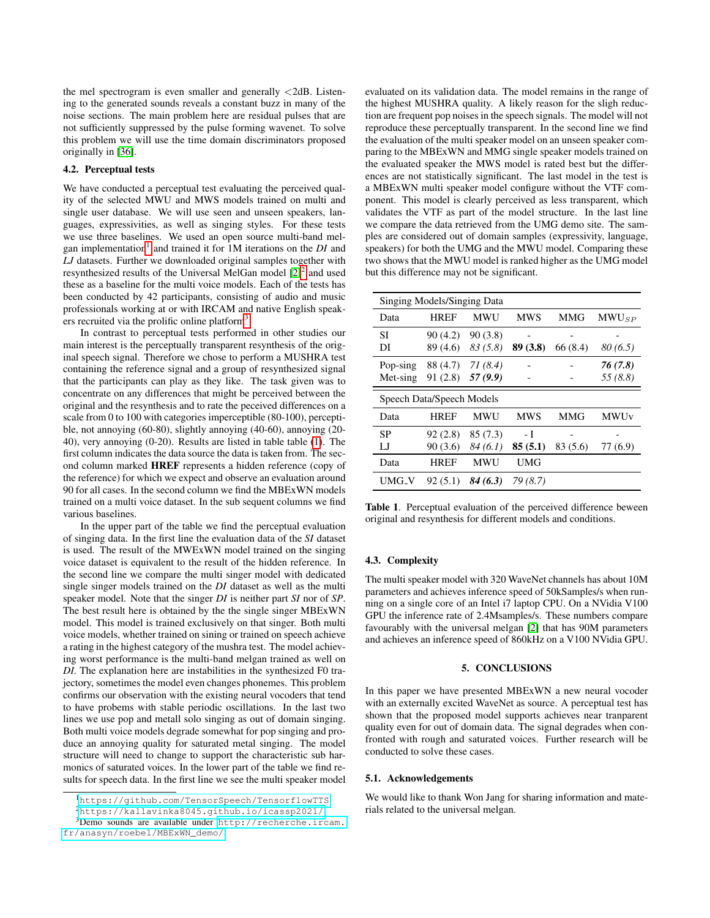the mel spectrogram is even smaller and generally <2dB. Listening to the generated sounds reveals a constant buzz in many of the noise sections. The main problem here are residual pulses that are not sufficiently suppressed by the pulse forming wavenet. To solve this problem we will use the time domain discriminators proposed originally in [\[36\]](#page-4-35).

# 4.2. Perceptual tests

We have conducted a perceptual test evaluating the perceived quality of the selected MWU and MWS models trained on multi and single user database. We will use seen and unseen speakers, languages, expressivities, as well as singing styles. For these tests we use three baselines. We used an open source multi-band mel-gan implementation<sup>[1](#page-3-0)</sup> and trained it for 1M iterations on the *DI* and *LJ* datasets. Further we downloaded original samples together with resynthesized results of the Universal MelGan model  $[2]^2$  $[2]^2$  $[2]^2$  and used these as a baseline for the multi voice models. Each of the tests has been conducted by 42 participants, consisting of audio and music professionals working at or with IRCAM and native English speak-ers recruited via the prolific online platform<sup>[3](#page-3-2)</sup>.

In contrast to perceptual tests performed in other studies our main interest is the perceptually transparent resynthesis of the original speech signal. Therefore we chose to perform a MUSHRA test containing the reference signal and a group of resynthesized signal that the participants can play as they like. The task given was to concentrate on any differences that might be perceived between the original and the resynthesis and to rate the peceived differences on a scale from 0 to 100 with categories imperceptible (80-100), perceptible, not annoying (60-80), slightly annoying (40-60), annoying (20- 40), very annoying (0-20). Results are listed in table table [\(1\)](#page-3-3). The first column indicates the data source the data is taken from. The second column marked HREF represents a hidden reference (copy of the reference) for which we expect and observe an evaluation around 90 for all cases. In the second column we find the MBExWN models trained on a multi voice dataset. In the sub sequent columns we find various baselines.

In the upper part of the table we find the perceptual evaluation of singing data. In the first line the evaluation data of the *SI* dataset is used. The result of the MWExWN model trained on the singing voice dataset is equivalent to the result of the hidden reference. In the second line we compare the multi singer model with dedicated single singer models trained on the *DI* dataset as well as the multi speaker model. Note that the singer *DI* is neither part *SI* nor of *SP*. The best result here is obtained by the the single singer MBExWN model. This model is trained exclusively on that singer. Both multi voice models, whether trained on sining or trained on speech achieve a rating in the highest category of the mushra test. The model achieving worst performance is the multi-band melgan trained as well on *DI*. The explanation here are instabilities in the synthesized F0 trajectory, sometimes the model even changes phonemes. This problem confirms our observation with the existing neural vocoders that tend to have probems with stable periodic oscillations. In the last two lines we use pop and metall solo singing as out of domain singing. Both multi voice models degrade somewhat for pop singing and produce an annoying quality for saturated metal singing. The model structure will need to change to support the characteristic sub harmonics of saturated voices. In the lower part of the table we find results for speech data. In the first line we see the multi speaker model

<sup>3</sup>Demo sounds are available under [http://recherche.ircam.](http://recherche.ircam.fr/anasyn/roebel/MBExWN_demo/) [fr/anasyn/roebel/MBExWN\\_demo/](http://recherche.ircam.fr/anasyn/roebel/MBExWN_demo/).

evaluated on its validation data. The model remains in the range of the highest MUSHRA quality. A likely reason for the sligh reduction are frequent pop noises in the speech signals. The model will not reproduce these perceptually transparent. In the second line we find the evaluation of the multi speaker model on an unseen speaker comparing to the MBExWN and MMG single speaker models trained on the evaluated speaker the MWS model is rated best but the differences are not statistically significant. The last model in the test is a MBExWN multi speaker model configure without the VTF component. This model is clearly perceived as less transparent, which validates the VTF as part of the model structure. In the last line we compare the data retrieved from the UMG demo site. The samples are considered out of domain samples (expressivity, language, speakers) for both the UMG and the MWU model. Comparing these two shows that the MWU model is ranked higher as the UMG model but this difference may not be significant.

| Singing Models/Singing Data |             |          |            |            |              |
|-----------------------------|-------------|----------|------------|------------|--------------|
| Data                        | <b>HREF</b> | MWU      | <b>MWS</b> | <b>MMG</b> | $MWU_{SP}$   |
| SІ                          | 90(4.2)     | 90(3.8)  |            |            |              |
| DI                          | 89 (4.6)    | 83(5.8)  | 89 (3.8)   | 66(8.4)    | 80(6.5)      |
| Pop-sing                    | 88 (4.7)    | 71(8.4)  |            |            | 76 (7.8)     |
| Met-sing                    | 91(2.8)     | 57 (9.9) |            |            | 55(8.8)      |
| Speech Data/Speech Models   |             |          |            |            |              |
|                             |             |          |            |            |              |
| Data                        | <b>HREF</b> | MWU      | <b>MWS</b> | MMG        | <b>MWU</b> v |
| SP                          | 92(2.8)     | 85 (7.3) | - I        |            |              |
| LJ                          | 90(3.6)     | 84(6.1)  | 85(5.1)    | 83 (5.6)   | 77 (6.9)     |
| Data                        | <b>HREF</b> | MWU      | UMG        |            |              |

<span id="page-3-3"></span>Table 1. Perceptual evaluation of the perceived difference beween original and resynthesis for different models and conditions.

# 4.3. Complexity

The multi speaker model with 320 WaveNet channels has about 10M parameters and achieves inference speed of 50kSamples/s when running on a single core of an Intel i7 laptop CPU. On a NVidia V100 GPU the inference rate of 2.4Msamples/s. These numbers compare favourably with the universal melgan [\[2\]](#page-4-7) that has 90M parameters and achieves an inference speed of 860kHz on a V100 NVidia GPU.

### 5. CONCLUSIONS

In this paper we have presented MBExWN a new neural vocoder with an externally excited WaveNet as source. A perceptual test has shown that the proposed model supports achieves near tranparent quality even for out of domain data. The signal degrades when confronted with rough and saturated voices. Further research will be conducted to solve these cases.

### 5.1. Acknowledgements

We would like to thank Won Jang for sharing information and materials related to the universal melgan.

<span id="page-3-1"></span><span id="page-3-0"></span><sup>1</sup><https://github.com/TensorSpeech/TensorflowTTS>

<span id="page-3-2"></span><sup>2</sup><https://kallavinka8045.github.io/icassp2021/>